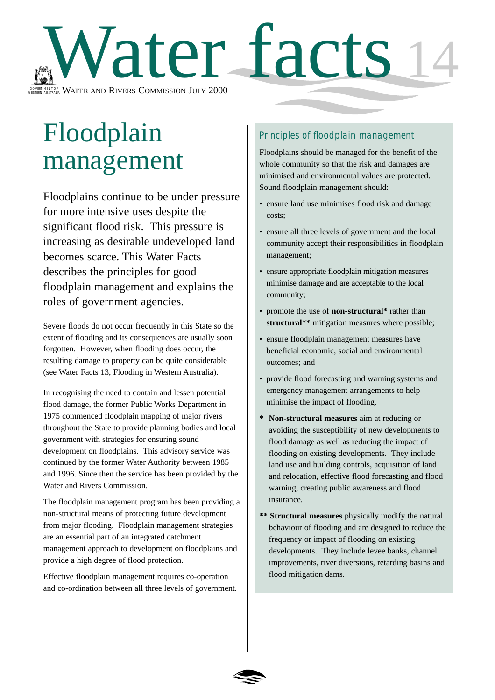

# Floodplain management

Floodplains continue to be under pressure for more intensive uses despite the significant flood risk. This pressure is increasing as desirable undeveloped land becomes scarce. This Water Facts describes the principles for good floodplain management and explains the roles of government agencies.

Severe floods do not occur frequently in this State so the extent of flooding and its consequences are usually soon forgotten. However, when flooding does occur, the resulting damage to property can be quite considerable (see Water Facts 13, Flooding in Western Australia).

In recognising the need to contain and lessen potential flood damage, the former Public Works Department in 1975 commenced floodplain mapping of major rivers throughout the State to provide planning bodies and local government with strategies for ensuring sound development on floodplains. This advisory service was continued by the former Water Authority between 1985 and 1996. Since then the service has been provided by the Water and Rivers Commission.

The floodplain management program has been providing a non-structural means of protecting future development from major flooding. Floodplain management strategies are an essential part of an integrated catchment management approach to development on floodplains and provide a high degree of flood protection.

Effective floodplain management requires co-operation and co-ordination between all three levels of government.

## Principles of floodplain management

Floodplains should be managed for the benefit of the whole community so that the risk and damages are minimised and environmental values are protected. Sound floodplain management should:

- ensure land use minimises flood risk and damage costs;
- ensure all three levels of government and the local community accept their responsibilities in floodplain management;
- ensure appropriate floodplain mitigation measures minimise damage and are acceptable to the local community;
- promote the use of **non-structural\*** rather than **structural\*\*** mitigation measures where possible;
- ensure floodplain management measures have beneficial economic, social and environmental outcomes; and
- provide flood forecasting and warning systems and emergency management arrangements to help minimise the impact of flooding.
- **\* Non-structural measures** aim at reducing or avoiding the susceptibility of new developments to flood damage as well as reducing the impact of flooding on existing developments. They include land use and building controls, acquisition of land and relocation, effective flood forecasting and flood warning, creating public awareness and flood insurance.
- **\*\* Structural measures** physically modify the natural behaviour of flooding and are designed to reduce the frequency or impact of flooding on existing developments. They include levee banks, channel improvements, river diversions, retarding basins and flood mitigation dams.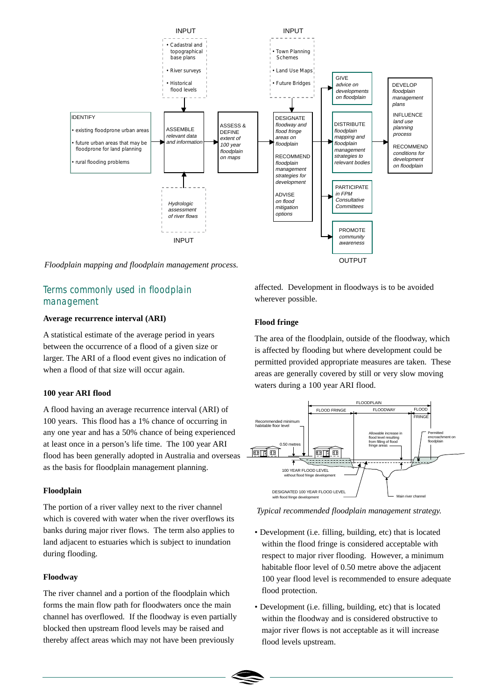

*Floodplain mapping and floodplain management process.*

## Terms commonly used in floodplain management

#### **Average recurrence interval (ARI)**

A statistical estimate of the average period in years between the occurrence of a flood of a given size or larger. The ARI of a flood event gives no indication of when a flood of that size will occur again.

#### **100 year ARI flood**

A flood having an average recurrence interval (ARI) of 100 years. This flood has a 1% chance of occurring in any one year and has a 50% chance of being experienced at least once in a person's life time. The 100 year ARI flood has been generally adopted in Australia and overseas as the basis for floodplain management planning.

#### **Floodplain**

The portion of a river valley next to the river channel which is covered with water when the river overflows its banks during major river flows. The term also applies to land adjacent to estuaries which is subject to inundation during flooding.

#### **Floodway**

The river channel and a portion of the floodplain which forms the main flow path for floodwaters once the main channel has overflowed. If the floodway is even partially blocked then upstream flood levels may be raised and thereby affect areas which may not have been previously

affected. Development in floodways is to be avoided wherever possible.

### **Flood fringe**

The area of the floodplain, outside of the floodway, which is affected by flooding but where development could be permitted provided appropriate measures are taken. These areas are generally covered by still or very slow moving waters during a 100 year ARI flood.



*Typical recommended floodplain management strategy.*

- Development (i.e. filling, building, etc) that is located within the flood fringe is considered acceptable with respect to major river flooding. However, a minimum habitable floor level of 0.50 metre above the adjacent 100 year flood level is recommended to ensure adequate flood protection.
- Development (i.e. filling, building, etc) that is located within the floodway and is considered obstructive to major river flows is not acceptable as it will increase flood levels upstream.

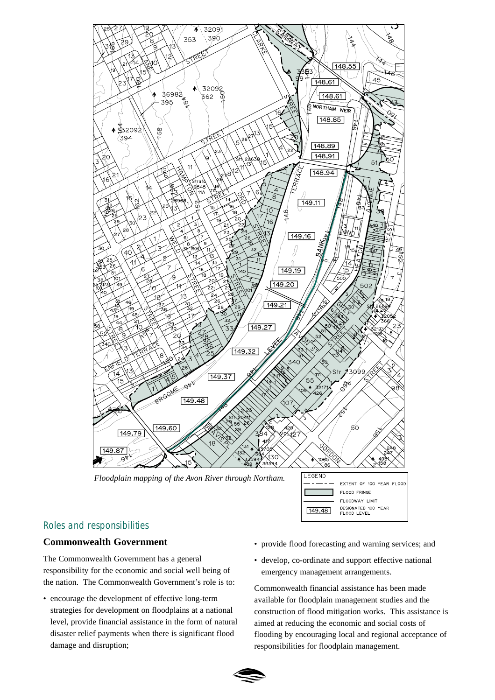

## Roles and responsibilities

## **Commonwealth Government**

The Commonwealth Government has a general responsibility for the economic and social well being of the nation. The Commonwealth Government's role is to:

- encourage the development of effective long-term strategies for development on floodplains at a national level, provide financial assistance in the form of natural disaster relief payments when there is significant flood damage and disruption;
- provide flood forecasting and warning services; and
- develop, co-ordinate and support effective national emergency management arrangements.

Commonwealth financial assistance has been made available for floodplain management studies and the construction of flood mitigation works. This assistance is aimed at reducing the economic and social costs of flooding by encouraging local and regional acceptance of responsibilities for floodplain management.